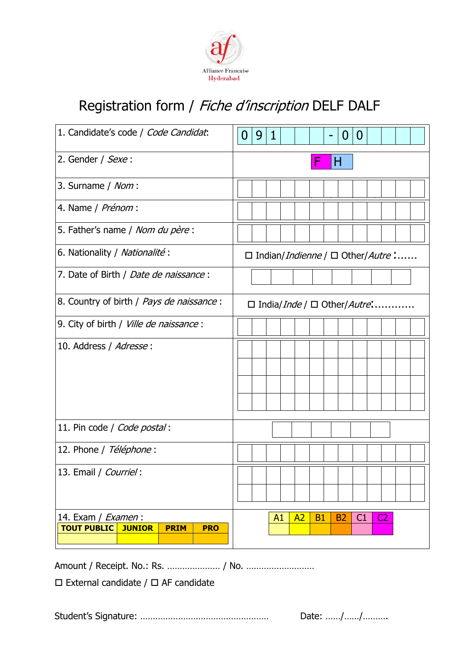

# Registration form / Fiche d'inscription DELF DALF

| 1. Candidate's code / Code Candidat.                                                   | 9<br>1<br>$\overline{0}$<br>O<br>$\bf{0}$<br>-                |
|----------------------------------------------------------------------------------------|---------------------------------------------------------------|
| 2. Gender / Sexe:                                                                      | Н                                                             |
| 3. Surname / Nom:                                                                      |                                                               |
| 4. Name / Prénom :                                                                     |                                                               |
| 5. Father's name / Nom du père :                                                       |                                                               |
| 6. Nationality / Nationalité :                                                         | $\Box$ Indian/ <i>Indienne</i> / $\Box$ Other/ <i>Autre</i> : |
| 7. Date of Birth / Date de naissance :                                                 |                                                               |
| 8. Country of birth / Pays de naissance :                                              | $\Box$ India/ <i>Inde</i> / $\Box$ Other/ <i>Autre</i> :      |
| 9. City of birth / Ville de naissance :                                                |                                                               |
| 10. Address / Adresse:                                                                 |                                                               |
| 11. Pin code / Code postal:                                                            |                                                               |
| 12. Phone / Téléphone :                                                                |                                                               |
| 13. Email / Courriel:                                                                  | the control of the con-                                       |
| 14. Exam / Examen:<br><b>PRIM</b><br><b>TOUT PUBLIC</b><br><b>JUNIOR</b><br><b>PRO</b> | A2<br><b>B1</b><br>C1<br>C <sub>2</sub><br>A1<br><b>B2</b>    |

Amount / Receipt. No.: Rs. ………………… / No. ………………………

 $\square$  External candidate /  $\square$  AF candidate

Student's Signature: …………………………………………… Date: ……/……/……….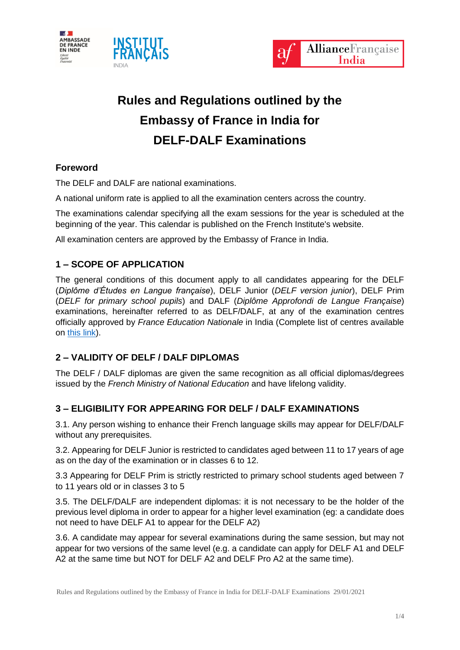





# **Rules and Regulations outlined by the Embassy of France in India for DELF-DALF Examinations**

## **Foreword**

The DELF and DALF are national examinations.

A national uniform rate is applied to all the examination centers across the country.

The examinations calendar specifying all the exam sessions for the year is scheduled at the beginning of the year. This calendar is published on the French Institute's website.

All examination centers are approved by the Embassy of France in India.

## **1 – SCOPE OF APPLICATION**

The general conditions of this document apply to all candidates appearing for the DELF (*Diplôme d'Études en Langue française*), DELF Junior (*DELF version junior*), DELF Prim (*DELF for primary school pupils*) and DALF (*Diplôme Approfondi de Langue Française*) examinations, hereinafter referred to as DELF/DALF, at any of the examination centres officially approved by *France Education Nationale* in India (Complete list of centres available on [this](http://www.ciep.fr/delfdalf/annuaire_centres.php) link).

## **2 – VALIDITY OF DELF / DALF DIPLOMAS**

The DELF / DALF diplomas are given the same recognition as all official diplomas/degrees issued by the *French Ministry of National Education* and have lifelong validity.

## **3 – ELIGIBILITY FOR APPEARING FOR DELF / DALF EXAMINATIONS**

3.1. Any person wishing to enhance their French language skills may appear for DELF/DALF without any prerequisites.

3.2. Appearing for DELF Junior is restricted to candidates aged between 11 to 17 years of age as on the day of the examination or in classes 6 to 12.

3.3 Appearing for DELF Prim is strictly restricted to primary school students aged between 7 to 11 years old or in classes 3 to 5

3.5. The DELF/DALF are independent diplomas: it is not necessary to be the holder of the previous level diploma in order to appear for a higher level examination (eg: a candidate does not need to have DELF A1 to appear for the DELF A2)

3.6. A candidate may appear for several examinations during the same session, but may not appear for two versions of the same level (e.g. a candidate can apply for DELF A1 and DELF A2 at the same time but NOT for DELF A2 and DELF Pro A2 at the same time).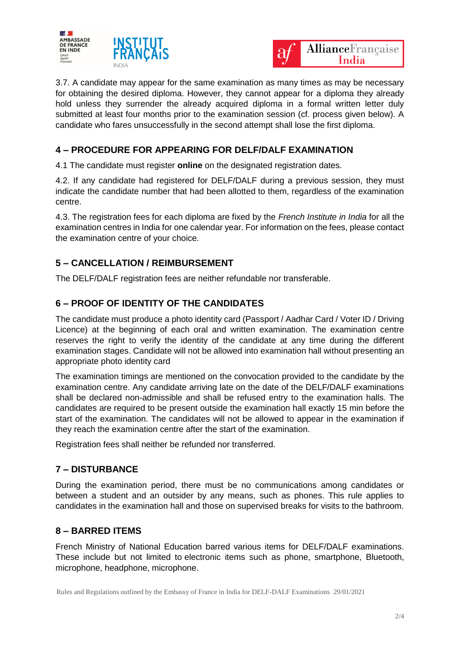



3.7. A candidate may appear for the same examination as many times as may be necessary for obtaining the desired diploma. However, they cannot appear for a diploma they already hold unless they surrender the already acquired diploma in a formal written letter duly submitted at least four months prior to the examination session (cf. process given below). A candidate who fares unsuccessfully in the second attempt shall lose the first diploma.

### **4 – PROCEDURE FOR APPEARING FOR DELF/DALF EXAMINATION**

4.1 The candidate must register **online** on the designated registration dates.

4.2. If any candidate had registered for DELF/DALF during a previous session, they must indicate the candidate number that had been allotted to them, regardless of the examination centre.

4.3. The registration fees for each diploma are fixed by the *French Institute in India* for all the examination centres in India for one calendar year. For information on the fees, please contact the examination centre of your choice.

## **5 – CANCELLATION / REIMBURSEMENT**

The DELF/DALF registration fees are neither refundable nor transferable.

## **6 – PROOF OF IDENTITY OF THE CANDIDATES**

The candidate must produce a photo identity card (Passport / Aadhar Card / Voter ID / Driving Licence) at the beginning of each oral and written examination. The examination centre reserves the right to verify the identity of the candidate at any time during the different examination stages. Candidate will not be allowed into examination hall without presenting an appropriate photo identity card

The examination timings are mentioned on the convocation provided to the candidate by the examination centre. Any candidate arriving late on the date of the DELF/DALF examinations shall be declared non-admissible and shall be refused entry to the examination halls. The candidates are required to be present outside the examination hall exactly 15 min before the start of the examination. The candidates will not be allowed to appear in the examination if they reach the examination centre after the start of the examination.

Registration fees shall neither be refunded nor transferred.

#### **7 – DISTURBANCE**

During the examination period, there must be no communications among candidates or between a student and an outsider by any means, such as phones. This rule applies to candidates in the examination hall and those on supervised breaks for visits to the bathroom.

#### **8 – BARRED ITEMS**

French Ministry of National Education barred various items for DELF/DALF examinations. These include but not limited to electronic items such as phone, smartphone, Bluetooth, microphone, headphone, microphone.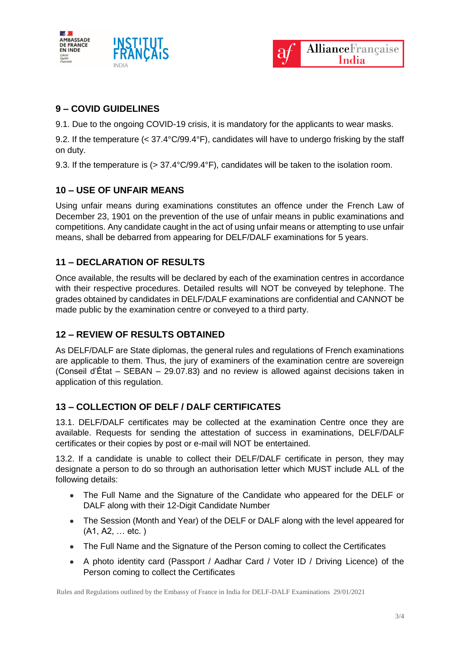



## **9 – COVID GUIDELINES**

9.1. Due to the ongoing COVID-19 crisis, it is mandatory for the applicants to wear masks.

9.2. If the temperature (< 37.4°C/99.4°F), candidates will have to undergo frisking by the staff on duty.

9.3. If the temperature is (> 37.4°C/99.4°F), candidates will be taken to the isolation room.

#### **10 – USE OF UNFAIR MEANS**

Using unfair means during examinations constitutes an offence under the French Law of December 23, 1901 on the prevention of the use of unfair means in public examinations and competitions. Any candidate caught in the act of using unfair means or attempting to use unfair means, shall be debarred from appearing for DELF/DALF examinations for 5 years.

#### **11 – DECLARATION OF RESULTS**

Once available, the results will be declared by each of the examination centres in accordance with their respective procedures. Detailed results will NOT be conveyed by telephone. The grades obtained by candidates in DELF/DALF examinations are confidential and CANNOT be made public by the examination centre or conveyed to a third party.

#### **12 – REVIEW OF RESULTS OBTAINED**

As DELF/DALF are State diplomas, the general rules and regulations of French examinations are applicable to them. Thus, the jury of examiners of the examination centre are sovereign (Conseil d'État – SEBAN – 29.07.83) and no review is allowed against decisions taken in application of this regulation.

#### **13 – COLLECTION OF DELF / DALF CERTIFICATES**

13.1. DELF/DALF certificates may be collected at the examination Centre once they are available. Requests for sending the attestation of success in examinations, DELF/DALF certificates or their copies by post or e-mail will NOT be entertained.

13.2. If a candidate is unable to collect their DELF/DALF certificate in person, they may designate a person to do so through an authorisation letter which MUST include ALL of the following details:

- The Full Name and the Signature of the Candidate who appeared for the DELF or DALF along with their 12-Digit Candidate Number
- The Session (Month and Year) of the DELF or DALF along with the level appeared for (A1, A2, … etc. )
- The Full Name and the Signature of the Person coming to collect the Certificates
- A photo identity card (Passport / Aadhar Card / Voter ID / Driving Licence) of the Person coming to collect the Certificates

Rules and Regulations outlined by the Embassy of France in India for DELF-DALF Examinations 29/01/2021